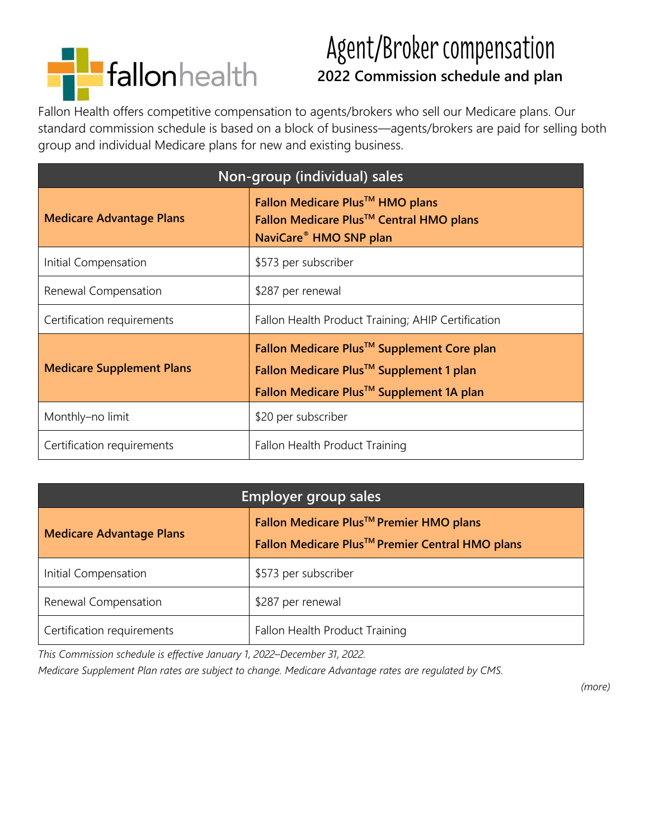

# Agent/Broker compensation  **2022 Commission schedule and plan**

Fallon Health offers competitive compensation to agents/brokers who sell our Medicare plans. Our standard commission schedule is based on a block of business—agents/brokers are paid for selling both group and individual Medicare plans for new and existing business.

| Non-group (individual) sales     |                                                                                                                                                                       |
|----------------------------------|-----------------------------------------------------------------------------------------------------------------------------------------------------------------------|
| <b>Medicare Advantage Plans</b>  | Fallon Medicare Plus <sup>™</sup> HMO plans<br>Fallon Medicare Plus <sup>™</sup> Central HMO plans<br>NaviCare <sup>®</sup> HMO SNP plan                              |
| Initial Compensation             | \$573 per subscriber                                                                                                                                                  |
| Renewal Compensation             | \$287 per renewal                                                                                                                                                     |
| Certification requirements       | Fallon Health Product Training; AHIP Certification                                                                                                                    |
| <b>Medicare Supplement Plans</b> | Fallon Medicare Plus <sup>™</sup> Supplement Core plan<br>Fallon Medicare Plus <sup>™</sup> Supplement 1 plan<br>Fallon Medicare Plus <sup>™</sup> Supplement 1A plan |
| Monthly-no limit                 | \$20 per subscriber                                                                                                                                                   |
| Certification requirements       | Fallon Health Product Training                                                                                                                                        |

| <b>Employer group sales</b>     |                                                                                                        |
|---------------------------------|--------------------------------------------------------------------------------------------------------|
| <b>Medicare Advantage Plans</b> | Fallon Medicare Plus™ Premier HMO plans<br>Fallon Medicare Plus <sup>™</sup> Premier Central HMO plans |
| Initial Compensation            | \$573 per subscriber                                                                                   |
| Renewal Compensation            | \$287 per renewal                                                                                      |
| Certification requirements      | Fallon Health Product Training                                                                         |

*This Commission schedule is effective January 1, 2022–December 31, 2022.*

*Medicare Supplement Plan rates are subject to change. Medicare Advantage rates are regulated by CMS.*

*(more)*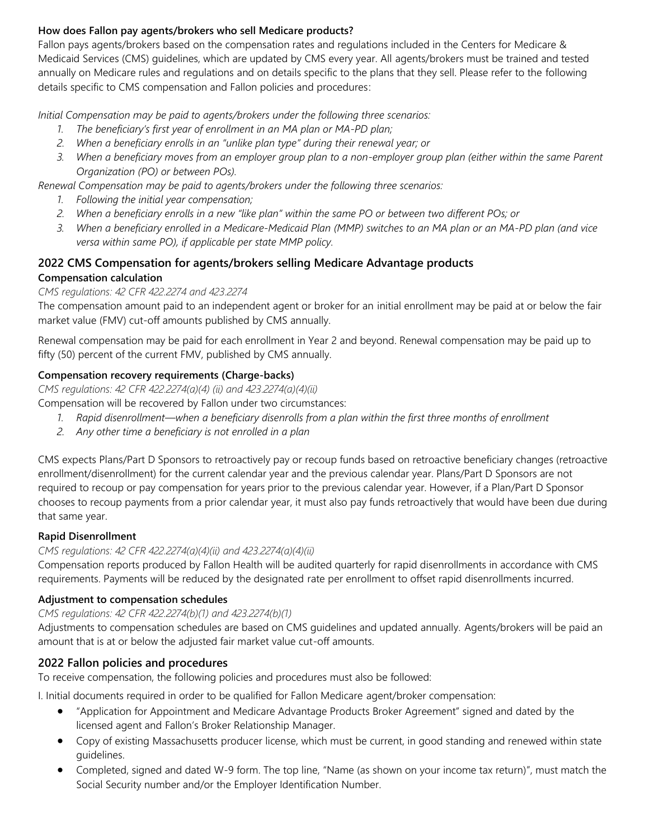## **How does Fallon pay agents/brokers who sell Medicare products?**

Fallon pays agents/brokers based on the compensation rates and regulations included in the Centers for Medicare & Medicaid Services (CMS) guidelines, which are updated by CMS every year. All agents/brokers must be trained and tested annually on Medicare rules and regulations and on details specific to the plans that they sell. Please refer to the following details specific to CMS compensation and Fallon policies and procedures:

*Initial Compensation may be paid to agents/brokers under the following three scenarios:*

- *1. The beneficiary's first year of enrollment in an MA plan or MA-PD plan;*
- *2. When a beneficiary enrolls in an "unlike plan type" during their renewal year; or*
- *3. When a beneficiary moves from an employer group plan to a non-employer group plan (either within the same Parent Organization (PO) or between POs).*

*Renewal Compensation may be paid to agents/brokers under the following three scenarios:*

- *1. Following the initial year compensation;*
- *2. When a beneficiary enrolls in a new "like plan" within the same PO or between two different POs; or*
- *3. When a beneficiary enrolled in a Medicare-Medicaid Plan (MMP) switches to an MA plan or an MA-PD plan (and vice versa within same PO), if applicable per state MMP policy.*

### **2022 CMS Compensation for agents/brokers selling Medicare Advantage products Compensation calculation**

## *CMS regulations: 42 CFR 422.2274 and 423.2274*

The compensation amount paid to an independent agent or broker for an initial enrollment may be paid at or below the fair market value (FMV) cut-off amounts published by CMS annually.

Renewal compensation may be paid for each enrollment in Year 2 and beyond. Renewal compensation may be paid up to fifty (50) percent of the current FMV, published by CMS annually.

## **Compensation recovery requirements (Charge-backs)**

*CMS regulations: 42 CFR 422.2274(a)(4) (ii) and 423.2274(a)(4)(ii)* Compensation will be recovered by Fallon under two circumstances:

- *1. Rapid disenrollment—when a beneficiary disenrolls from a plan within the first three months of enrollment*
- *2. Any other time a beneficiary is not enrolled in a plan*

CMS expects Plans/Part D Sponsors to retroactively pay or recoup funds based on retroactive beneficiary changes (retroactive enrollment/disenrollment) for the current calendar year and the previous calendar year. Plans/Part D Sponsors are not required to recoup or pay compensation for years prior to the previous calendar year. However, if a Plan/Part D Sponsor chooses to recoup payments from a prior calendar year, it must also pay funds retroactively that would have been due during that same year.

#### **Rapid Disenrollment**

#### *CMS regulations: 42 CFR 422.2274(a)(4)(ii) and 423.2274(a)(4)(ii)*

Compensation reports produced by Fallon Health will be audited quarterly for rapid disenrollments in accordance with CMS requirements. Payments will be reduced by the designated rate per enrollment to offset rapid disenrollments incurred.

#### **Adjustment to compensation schedules**

#### *CMS regulations: 42 CFR 422.2274(b)(1) and 423.2274(b)(1)*

Adjustments to compensation schedules are based on CMS guidelines and updated annually. Agents/brokers will be paid an amount that is at or below the adjusted fair market value cut-off amounts.

## **2022 Fallon policies and procedures**

To receive compensation, the following policies and procedures must also be followed:

I. Initial documents required in order to be qualified for Fallon Medicare agent/broker compensation:

- "Application for Appointment and Medicare Advantage Products Broker Agreement" signed and dated by the licensed agent and Fallon's Broker Relationship Manager.
- Copy of existing Massachusetts producer license, which must be current, in good standing and renewed within state guidelines.
- Completed, signed and dated W-9 form. The top line, "Name (as shown on your income tax return)", must match the Social Security number and/or the Employer Identification Number.